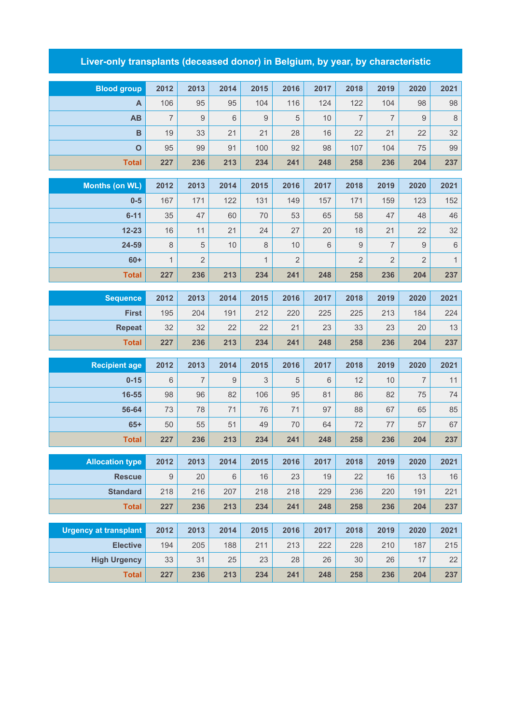## **Liver-only transplants (deceased donor) in Belgium, by year, by characteristic**

| <b>Blood group</b>           | 2012                | 2013                 | 2014  | 2015              | 2016             | 2017  | 2018              | 2019                 | 2020           | 2021                        |
|------------------------------|---------------------|----------------------|-------|-------------------|------------------|-------|-------------------|----------------------|----------------|-----------------------------|
| A                            | 106                 | 95                   | 95    | 104               | 116              | 124   | 122               | 104                  | 98             | 98                          |
| <b>AB</b>                    | $\overline{7}$      | 9                    | 6     | $\boldsymbol{9}$  | 5                | 10    | $\overline{7}$    | $\overline{7}$       | 9              | $\,8\,$                     |
| $\mathbf B$                  | 19                  | 33                   | 21    | 21                | 28               | 16    | 22                | 21                   | 22             | 32                          |
| $\mathbf 0$                  | 95                  | 99                   | 91    | 100               | 92               | 98    | 107               | 104                  | 75             | 99                          |
| <b>Total</b>                 | 227                 | 236                  | 213   | 234               | 241              | 248   | 258               | 236                  | 204            | 237                         |
|                              |                     |                      |       |                   |                  |       |                   |                      |                |                             |
| <b>Months (on WL)</b>        | 2012                | 2013                 | 2014  | 2015              | 2016             | 2017  | 2018              | 2019                 | 2020           | 2021                        |
| $0 - 5$                      | 167                 | 171                  | 122   | 131               | 149              | 157   | 171               | 159                  | 123            | 152                         |
| $6 - 11$                     | 35                  | 47                   | 60    | 70                | 53               | 65    | 58                | 47                   | 48             | 46                          |
| $12 - 23$                    | 16<br>$\,8\,$       | 11<br>$\overline{5}$ | 21    | 24                | 27               | 20    | 18<br>$\mathsf g$ | 21<br>$\overline{7}$ | 22             | 32                          |
| 24-59<br>$60+$               |                     | $\overline{2}$       | 10    | 8<br>$\mathbf{1}$ | 10<br>$\sqrt{2}$ | $6\,$ | $\overline{2}$    | $\overline{2}$       | $9$            | $\,$ 6 $\,$<br>$\mathbf{1}$ |
|                              | $\mathbf{1}$<br>227 |                      | 213   |                   |                  |       |                   | 236                  | $\overline{2}$ | 237                         |
| <b>Total</b>                 |                     | 236                  |       | 234               | 241              | 248   | 258               |                      | 204            |                             |
| <b>Sequence</b>              | 2012                | 2013                 | 2014  | 2015              | 2016             | 2017  | 2018              | 2019                 | 2020           | 2021                        |
| <b>First</b>                 | 195                 | 204                  | 191   | 212               | 220              | 225   | 225               | 213                  | 184            | 224                         |
| <b>Repeat</b>                | 32                  | 32                   | 22    | 22                | 21               | 23    | 33                | 23                   | 20             | 13                          |
| <b>Total</b>                 | 227                 | 236                  | 213   | 234               | 241              | 248   | 258               | 236                  | 204            | 237                         |
| <b>Recipient age</b>         | 2012                | 2013                 | 2014  | 2015              | 2016             | 2017  | 2018              | 2019                 | 2020           | 2021                        |
| $0 - 15$                     | 6                   | $\overline{7}$       | 9     | 3                 | 5                | 6     | 12                | 10                   | $\overline{7}$ | 11                          |
| 16-55                        | 98                  | 96                   | 82    | 106               | 95               | 81    | 86                | 82                   | 75             | 74                          |
| 56-64                        | 73                  | 78                   | 71    | 76                | 71               | 97    | 88                | 67                   | 65             | 85                          |
| $65+$                        | 50                  | 55                   | 51    | 49                | 70               | 64    | 72                | 77                   | 57             | 67                          |
| <b>Total</b>                 | 227                 | 236                  | 213   | 234               | 241              | 248   | 258               | 236                  | 204            | 237                         |
|                              |                     |                      |       |                   |                  |       |                   |                      |                |                             |
| <b>Allocation type</b>       | 2012                | 2013                 | 2014  | 2015              | 2016             | 2017  | 2018              | 2019                 | 2020           | 2021                        |
| <b>Rescue</b>                | 9                   | 20                   | $6\,$ | 16                | 23               | 19    | 22                | 16                   | 13             | $16$                        |
| <b>Standard</b>              | 218                 | 216                  | 207   | 218               | 218              | 229   | 236               | 220                  | 191            | 221                         |
| <b>Total</b>                 | 227                 | 236                  | 213   | 234               | 241              | 248   | 258               | 236                  | 204            | 237                         |
| <b>Urgency at transplant</b> | 2012                | 2013                 | 2014  | 2015              | 2016             | 2017  | 2018              | 2019                 | 2020           | 2021                        |
| <b>Elective</b>              | 194                 | 205                  | 188   | 211               | 213              | 222   | 228               | 210                  | 187            | 215                         |
| <b>High Urgency</b>          | 33                  | 31                   | 25    | 23                | 28               | 26    | 30                | 26                   | 17             | 22                          |
| <b>Total</b>                 | 227                 | 236                  | 213   | 234               | 241              | 248   | 258               | 236                  | 204            | 237                         |